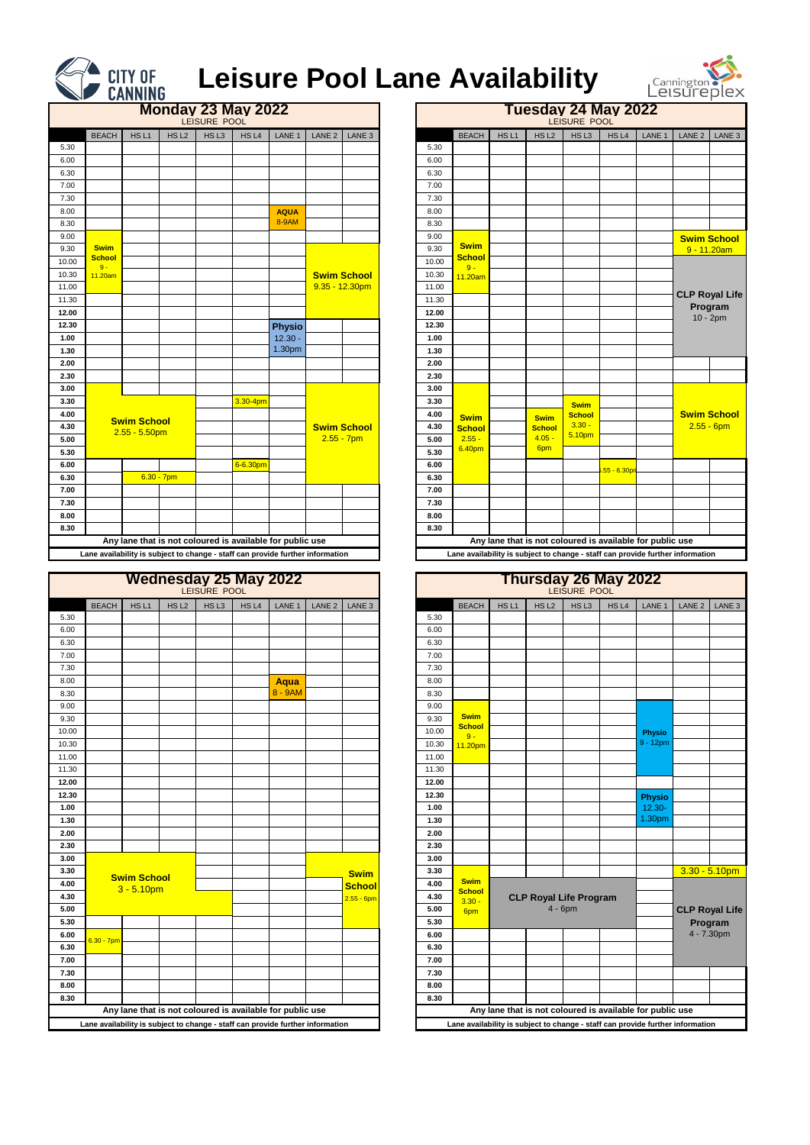|                                                                                |                    |                  | LEISURE POOL     |       | <b>Wednesday 25 May 2022</b> |        |                   |                                                                                |                           |                  |                                                           | <b>Thursday 26 May 2022</b>   |                  |               |            |                       |
|--------------------------------------------------------------------------------|--------------------|------------------|------------------|-------|------------------------------|--------|-------------------|--------------------------------------------------------------------------------|---------------------------|------------------|-----------------------------------------------------------|-------------------------------|------------------|---------------|------------|-----------------------|
| <b>BEACH</b>                                                                   | HS <sub>L1</sub>   | HS <sub>L2</sub> | HS <sub>L3</sub> | HS L4 | LANE 1                       | LANE 2 | LANE <sub>3</sub> |                                                                                | <b>BEACH</b>              | HS <sub>L1</sub> | HS <sub>L2</sub>                                          | HS <sub>L3</sub>              | HS <sub>L4</sub> | LANE 1        | LANE 2     | LANE 3                |
|                                                                                |                    |                  |                  |       |                              |        |                   | 5.30                                                                           |                           |                  |                                                           |                               |                  |               |            |                       |
|                                                                                |                    |                  |                  |       |                              |        |                   | 6.00                                                                           |                           |                  |                                                           |                               |                  |               |            |                       |
|                                                                                |                    |                  |                  |       |                              |        |                   | 6.30                                                                           |                           |                  |                                                           |                               |                  |               |            |                       |
|                                                                                |                    |                  |                  |       |                              |        |                   | 7.00                                                                           |                           |                  |                                                           |                               |                  |               |            |                       |
|                                                                                |                    |                  |                  |       |                              |        |                   | 7.30                                                                           |                           |                  |                                                           |                               |                  |               |            |                       |
|                                                                                |                    |                  |                  |       | <b>Aqua</b>                  |        |                   | 8.00                                                                           |                           |                  |                                                           |                               |                  |               |            |                       |
|                                                                                |                    |                  |                  |       | 8 - 9AM                      |        |                   | 8.30                                                                           |                           |                  |                                                           |                               |                  |               |            |                       |
|                                                                                |                    |                  |                  |       |                              |        |                   | 9.00                                                                           |                           |                  |                                                           |                               |                  |               |            |                       |
|                                                                                |                    |                  |                  |       |                              |        |                   | 9.30                                                                           | <b>Swim</b>               |                  |                                                           |                               |                  |               |            |                       |
|                                                                                |                    |                  |                  |       |                              |        |                   | 10.00                                                                          | <b>School</b><br>$9 -$    |                  |                                                           |                               |                  | <b>Physio</b> |            |                       |
|                                                                                |                    |                  |                  |       |                              |        |                   | 10.30                                                                          | 11.20pm                   |                  |                                                           |                               |                  | 9 - 12pm      |            |                       |
|                                                                                |                    |                  |                  |       |                              |        |                   | 11.00                                                                          |                           |                  |                                                           |                               |                  |               |            |                       |
|                                                                                |                    |                  |                  |       |                              |        |                   | 11.30                                                                          |                           |                  |                                                           |                               |                  |               |            |                       |
|                                                                                |                    |                  |                  |       |                              |        |                   | 12.00                                                                          |                           |                  |                                                           |                               |                  |               |            |                       |
|                                                                                |                    |                  |                  |       |                              |        |                   | 12.30                                                                          |                           |                  |                                                           |                               |                  | <b>Physio</b> |            |                       |
|                                                                                |                    |                  |                  |       |                              |        |                   | 1.00                                                                           |                           |                  |                                                           |                               |                  | $12.30 -$     |            |                       |
|                                                                                |                    |                  |                  |       |                              |        |                   | 1.30                                                                           |                           |                  |                                                           |                               |                  | 1.30pm        |            |                       |
|                                                                                |                    |                  |                  |       |                              |        |                   | 2.00                                                                           |                           |                  |                                                           |                               |                  |               |            |                       |
|                                                                                |                    |                  |                  |       |                              |        |                   | 2.30                                                                           |                           |                  |                                                           |                               |                  |               |            |                       |
|                                                                                |                    |                  |                  |       |                              |        |                   | 3.00                                                                           |                           |                  |                                                           |                               |                  |               |            |                       |
|                                                                                | <b>Swim School</b> |                  |                  |       |                              |        | <b>Swim</b>       | 3.30                                                                           |                           |                  |                                                           |                               |                  |               |            | $3.30 - 5.10$ pm      |
|                                                                                | $3 - 5.10pm$       |                  |                  |       |                              |        | <b>School</b>     | 4.00                                                                           | <b>Swim</b>               |                  |                                                           |                               |                  |               |            |                       |
|                                                                                |                    |                  |                  |       |                              |        | $2.55 - 6pm$      | 4.30                                                                           | <b>School</b><br>$3.30 -$ |                  |                                                           | <b>CLP Royal Life Program</b> |                  |               |            |                       |
|                                                                                |                    |                  |                  |       |                              |        |                   | 5.00                                                                           | 6pm                       |                  |                                                           | $4 - 6$ pm                    |                  |               |            | <b>CLP Royal Life</b> |
|                                                                                |                    |                  |                  |       |                              |        |                   | 5.30                                                                           |                           |                  |                                                           |                               |                  |               | Program    |                       |
| $6.30 - 7$ pm                                                                  |                    |                  |                  |       |                              |        |                   | 6.00                                                                           |                           |                  |                                                           |                               |                  |               | 4 - 7.30pm |                       |
|                                                                                |                    |                  |                  |       |                              |        |                   | 6.30                                                                           |                           |                  |                                                           |                               |                  |               |            |                       |
|                                                                                |                    |                  |                  |       |                              |        |                   | 7.00                                                                           |                           |                  |                                                           |                               |                  |               |            |                       |
|                                                                                |                    |                  |                  |       |                              |        |                   | 7.30                                                                           |                           |                  |                                                           |                               |                  |               |            |                       |
|                                                                                |                    |                  |                  |       |                              |        |                   | 8.00                                                                           |                           |                  |                                                           |                               |                  |               |            |                       |
|                                                                                |                    |                  |                  |       |                              |        |                   | 8.30                                                                           |                           |                  |                                                           |                               |                  |               |            |                       |
| Any lane that is not coloured is available for public use                      |                    |                  |                  |       |                              |        |                   |                                                                                |                           |                  | Any lane that is not coloured is available for public use |                               |                  |               |            |                       |
| Lane availability is subject to change - staff can provide further information |                    |                  |                  |       |                              |        |                   | Lane availability is subject to change - staff can provide further information |                           |                  |                                                           |                               |                  |               |            |                       |

|                                                                                |                                                           |                  | LEISURE POOL     | <b>Monday 23 May 2022</b> |                            |                   |                                         |                |                                                                                |                  | Tuesday 24 May 2022                                       | LEISURE POOL                 |              |        |                   |                       |
|--------------------------------------------------------------------------------|-----------------------------------------------------------|------------------|------------------|---------------------------|----------------------------|-------------------|-----------------------------------------|----------------|--------------------------------------------------------------------------------|------------------|-----------------------------------------------------------|------------------------------|--------------|--------|-------------------|-----------------------|
| <b>BEACH</b>                                                                   | HS <sub>L1</sub>                                          | HS <sub>L2</sub> | HS <sub>L3</sub> | HS <sub>L4</sub>          | LANE 1                     | LANE <sub>2</sub> | LANE <sub>3</sub>                       |                | <b>BEACH</b>                                                                   | HS <sub>L1</sub> | HS <sub>L2</sub>                                          | HSL3                         | HS L4        | LANE 1 | LANE <sub>2</sub> | LANE 3                |
|                                                                                |                                                           |                  |                  |                           |                            |                   |                                         | 5.30           |                                                                                |                  |                                                           |                              |              |        |                   |                       |
|                                                                                |                                                           |                  |                  |                           |                            |                   |                                         | 6.00           |                                                                                |                  |                                                           |                              |              |        |                   |                       |
|                                                                                |                                                           |                  |                  |                           |                            |                   |                                         | 6.30           |                                                                                |                  |                                                           |                              |              |        |                   |                       |
|                                                                                |                                                           |                  |                  |                           |                            |                   |                                         | 7.00           |                                                                                |                  |                                                           |                              |              |        |                   |                       |
|                                                                                |                                                           |                  |                  |                           |                            |                   |                                         | 7.30           |                                                                                |                  |                                                           |                              |              |        |                   |                       |
|                                                                                |                                                           |                  |                  |                           | <b>AQUA</b>                |                   |                                         | 8.00           |                                                                                |                  |                                                           |                              |              |        |                   |                       |
|                                                                                |                                                           |                  |                  |                           | 8-9AM                      |                   |                                         | 8.30           |                                                                                |                  |                                                           |                              |              |        |                   |                       |
|                                                                                |                                                           |                  |                  |                           |                            |                   |                                         | 9.00           | <b>Swim</b>                                                                    |                  |                                                           |                              |              |        |                   | <b>Swim School</b>    |
| <b>Swim</b><br><b>School</b>                                                   |                                                           |                  |                  |                           |                            |                   |                                         | 9.30           | <b>School</b>                                                                  |                  |                                                           |                              |              |        | 9 - 11.20am       |                       |
| $9 -$                                                                          |                                                           |                  |                  |                           |                            |                   |                                         | 10.00          | $9 -$                                                                          |                  |                                                           |                              |              |        |                   |                       |
| 11.20am                                                                        |                                                           |                  |                  |                           |                            |                   | <b>Swim School</b><br>$9.35 - 12.30$ pm | 10.30<br>11.00 | 11.20am                                                                        |                  |                                                           |                              |              |        |                   |                       |
|                                                                                |                                                           |                  |                  |                           |                            |                   |                                         | 11.30          |                                                                                |                  |                                                           |                              |              |        |                   | <b>CLP Royal Life</b> |
|                                                                                |                                                           |                  |                  |                           |                            |                   |                                         | 12.00          |                                                                                |                  |                                                           |                              |              |        |                   | Program               |
|                                                                                |                                                           |                  |                  |                           |                            |                   |                                         | 12.30          |                                                                                |                  |                                                           |                              |              |        |                   | $10 - 2pm$            |
|                                                                                |                                                           |                  |                  |                           | <b>Physio</b><br>$12.30 -$ |                   |                                         | 1.00           |                                                                                |                  |                                                           |                              |              |        |                   |                       |
|                                                                                |                                                           |                  |                  |                           | 1.30pm                     |                   |                                         | 1.30           |                                                                                |                  |                                                           |                              |              |        |                   |                       |
|                                                                                |                                                           |                  |                  |                           |                            |                   |                                         | 2.00           |                                                                                |                  |                                                           |                              |              |        |                   |                       |
|                                                                                |                                                           |                  |                  |                           |                            |                   |                                         | 2.30           |                                                                                |                  |                                                           |                              |              |        |                   |                       |
|                                                                                |                                                           |                  |                  |                           |                            |                   |                                         | 3.00           |                                                                                |                  |                                                           |                              |              |        |                   |                       |
|                                                                                |                                                           |                  |                  | $3.30 - 4pm$              |                            |                   |                                         | 3.30           |                                                                                |                  |                                                           |                              |              |        |                   |                       |
|                                                                                |                                                           |                  |                  |                           |                            |                   |                                         | 4.00           | <b>Swim</b>                                                                    |                  | <b>Swim</b>                                               | <b>Swim</b><br><b>School</b> |              |        |                   | <b>Swim School</b>    |
|                                                                                | <b>Swim School</b>                                        |                  |                  |                           |                            |                   | <b>Swim School</b>                      | 4.30           | <b>School</b>                                                                  |                  | <b>School</b>                                             | $3.30 -$                     |              |        | $2.55 - 6pm$      |                       |
|                                                                                | $2.55 - 5.50$ pm                                          |                  |                  |                           |                            |                   | $2.55 - 7pm$                            | 5.00           | $2.55 -$                                                                       |                  | $4.05 -$                                                  | 5.10pm                       |              |        |                   |                       |
|                                                                                |                                                           |                  |                  |                           |                            |                   |                                         | 5.30           | 6.40pm                                                                         |                  | 6pm                                                       |                              |              |        |                   |                       |
|                                                                                |                                                           |                  |                  | 6-6.30pm                  |                            |                   |                                         | 6.00           |                                                                                |                  |                                                           |                              | 5.55 - 6.30p |        |                   |                       |
|                                                                                |                                                           | $6.30 - 7$ pm    |                  |                           |                            |                   |                                         | 6.30           |                                                                                |                  |                                                           |                              |              |        |                   |                       |
|                                                                                |                                                           |                  |                  |                           |                            |                   |                                         | 7.00           |                                                                                |                  |                                                           |                              |              |        |                   |                       |
|                                                                                |                                                           |                  |                  |                           |                            |                   |                                         | 7.30           |                                                                                |                  |                                                           |                              |              |        |                   |                       |
|                                                                                |                                                           |                  |                  |                           |                            |                   |                                         | 8.00           |                                                                                |                  |                                                           |                              |              |        |                   |                       |
|                                                                                |                                                           |                  |                  |                           |                            |                   |                                         | 8.30           |                                                                                |                  |                                                           |                              |              |        |                   |                       |
|                                                                                | Any lane that is not coloured is available for public use |                  |                  |                           |                            |                   |                                         |                |                                                                                |                  | Any lane that is not coloured is available for public use |                              |              |        |                   |                       |
| Lane availability is subject to change - staff can provide further information |                                                           |                  |                  |                           |                            |                   |                                         |                | Lane availability is subject to change - staff can provide further information |                  |                                                           |                              |              |        |                   |                       |

|       |                        |                    |                  | LEISURE POOL     | <b>Monday 23 May 2022</b> |                                                                                |                   |                    |
|-------|------------------------|--------------------|------------------|------------------|---------------------------|--------------------------------------------------------------------------------|-------------------|--------------------|
|       | <b>BEACH</b>           | HS <sub>L1</sub>   | HS <sub>L2</sub> | HS <sub>L3</sub> | HS <sub>L4</sub>          | LANE 1                                                                         | LANE <sub>2</sub> | LANE <sub>3</sub>  |
| 5.30  |                        |                    |                  |                  |                           |                                                                                |                   |                    |
| 6.00  |                        |                    |                  |                  |                           |                                                                                |                   |                    |
| 6.30  |                        |                    |                  |                  |                           |                                                                                |                   |                    |
| 7.00  |                        |                    |                  |                  |                           |                                                                                |                   |                    |
| 7.30  |                        |                    |                  |                  |                           |                                                                                |                   |                    |
| 8.00  |                        |                    |                  |                  |                           | <b>AQUA</b>                                                                    |                   |                    |
| 8.30  |                        |                    |                  |                  |                           | <b>8-9AM</b>                                                                   |                   |                    |
| 9.00  |                        |                    |                  |                  |                           |                                                                                |                   |                    |
| 9.30  | <b>Swim</b>            |                    |                  |                  |                           |                                                                                |                   |                    |
| 10.00 | <b>School</b><br>$9 -$ |                    |                  |                  |                           |                                                                                |                   |                    |
| 10.30 | 11.20am                |                    |                  |                  |                           |                                                                                |                   | <b>Swim School</b> |
| 11.00 |                        |                    |                  |                  |                           |                                                                                |                   | $9.35 - 12.30$ pm  |
| 11.30 |                        |                    |                  |                  |                           |                                                                                |                   |                    |
| 12.00 |                        |                    |                  |                  |                           |                                                                                |                   |                    |
| 12.30 |                        |                    |                  |                  |                           | <b>Physio</b>                                                                  |                   |                    |
| 1.00  |                        |                    |                  |                  |                           | $12.30 -$                                                                      |                   |                    |
| 1.30  |                        |                    |                  |                  |                           | 1.30pm                                                                         |                   |                    |
| 2.00  |                        |                    |                  |                  |                           |                                                                                |                   |                    |
| 2.30  |                        |                    |                  |                  |                           |                                                                                |                   |                    |
| 3.00  |                        |                    |                  |                  |                           |                                                                                |                   |                    |
| 3.30  |                        |                    |                  |                  | 3.30-4pm                  |                                                                                |                   |                    |
| 4.00  |                        | <b>Swim School</b> |                  |                  |                           |                                                                                |                   |                    |
| 4.30  |                        | $2.55 - 5.50$ pm   |                  |                  |                           |                                                                                |                   | <b>Swim School</b> |
| 5.00  |                        |                    |                  |                  |                           |                                                                                |                   | $2.55 - 7pm$       |
| 5.30  |                        |                    |                  |                  |                           |                                                                                |                   |                    |
| 6.00  |                        |                    |                  |                  | 6-6.30pm                  |                                                                                |                   |                    |
| 6.30  |                        |                    | $6.30 - 7$ pm    |                  |                           |                                                                                |                   |                    |
| 7.00  |                        |                    |                  |                  |                           |                                                                                |                   |                    |
| 7.30  |                        |                    |                  |                  |                           |                                                                                |                   |                    |
| 8.00  |                        |                    |                  |                  |                           |                                                                                |                   |                    |
| 8.30  |                        |                    |                  |                  |                           |                                                                                |                   |                    |
|       |                        |                    |                  |                  |                           | Any lane that is not coloured is available for public use                      |                   |                    |
|       |                        |                    |                  |                  |                           | Lane availability is subject to change - staff can provide further information |                   |                    |

|          |               |                    |                  | LEISURE POOL     |                  | <b>Wednesday 25 May 2022</b>                                                   |                           |                   |                               |       |                                                                 |                  |                  | LEISURE POOL     | Thursday 26 May 2022                              |                   |
|----------|---------------|--------------------|------------------|------------------|------------------|--------------------------------------------------------------------------------|---------------------------|-------------------|-------------------------------|-------|-----------------------------------------------------------------|------------------|------------------|------------------|---------------------------------------------------|-------------------|
|          | <b>BEACH</b>  | HS <sub>L1</sub>   | HS <sub>L2</sub> | HS <sub>L3</sub> | HS <sub>L4</sub> | LANE <sub>1</sub>                                                              | LANE 2                    | LANE <sub>3</sub> |                               |       | <b>BEACH</b>                                                    | HS <sub>L1</sub> | HS <sub>L2</sub> | HS <sub>L3</sub> | HS <sub>L4</sub>                                  | LANE              |
| 5.30     |               |                    |                  |                  |                  |                                                                                |                           |                   |                               | 5.30  |                                                                 |                  |                  |                  |                                                   |                   |
| 6.00     |               |                    |                  |                  |                  |                                                                                |                           |                   |                               | 6.00  |                                                                 |                  |                  |                  |                                                   |                   |
| 6.30     |               |                    |                  |                  |                  |                                                                                |                           |                   |                               | 6.30  |                                                                 |                  |                  |                  |                                                   |                   |
| 7.00     |               |                    |                  |                  |                  |                                                                                |                           |                   |                               | 7.00  |                                                                 |                  |                  |                  |                                                   |                   |
| 7.30     |               |                    |                  |                  |                  |                                                                                |                           |                   |                               | 7.30  |                                                                 |                  |                  |                  |                                                   |                   |
| 8.00     |               |                    |                  |                  |                  | <b>Aqua</b>                                                                    |                           |                   |                               | 8.00  |                                                                 |                  |                  |                  |                                                   |                   |
| 8.30     |               |                    |                  |                  |                  | 8 - 9AM                                                                        |                           |                   |                               | 8.30  |                                                                 |                  |                  |                  |                                                   |                   |
| 9.00     |               |                    |                  |                  |                  |                                                                                |                           |                   |                               | 9.00  |                                                                 |                  |                  |                  |                                                   |                   |
| 9.30     |               |                    |                  |                  |                  |                                                                                |                           |                   |                               | 9.30  | <b>Swim</b>                                                     |                  |                  |                  |                                                   |                   |
| 10.00    |               |                    |                  |                  |                  |                                                                                |                           |                   |                               | 10.00 | <b>School</b><br>$9 -$                                          |                  |                  |                  |                                                   | <b>Phys</b>       |
| 10.30    |               |                    |                  |                  |                  |                                                                                |                           |                   |                               | 10.30 | 11.20pm                                                         |                  |                  |                  |                                                   | $9 - 12$          |
| 11.00    |               |                    |                  |                  |                  |                                                                                |                           |                   |                               | 11.00 |                                                                 |                  |                  |                  |                                                   |                   |
| 11.30    |               |                    |                  |                  |                  |                                                                                |                           |                   |                               | 11.30 |                                                                 |                  |                  |                  |                                                   |                   |
| 12.00    |               |                    |                  |                  |                  |                                                                                |                           |                   |                               | 12.00 |                                                                 |                  |                  |                  |                                                   |                   |
| 12.30    |               |                    |                  |                  |                  |                                                                                |                           |                   |                               | 12.30 |                                                                 |                  |                  |                  |                                                   | <b>Phys</b>       |
| 1.00     |               |                    |                  |                  |                  |                                                                                |                           |                   |                               | 1.00  |                                                                 |                  |                  |                  |                                                   | 12.3              |
| 1.30     |               |                    |                  |                  |                  |                                                                                |                           |                   |                               | 1.30  |                                                                 |                  |                  |                  |                                                   | 1.30 <sub>F</sub> |
| 2.00     |               |                    |                  |                  |                  |                                                                                |                           |                   |                               | 2.00  |                                                                 |                  |                  |                  |                                                   |                   |
| 2.30     |               |                    |                  |                  |                  |                                                                                |                           |                   |                               | 2.30  |                                                                 |                  |                  |                  |                                                   |                   |
| 3.00     |               |                    |                  |                  |                  |                                                                                |                           |                   |                               | 3.00  |                                                                 |                  |                  |                  |                                                   |                   |
| 3.30     |               |                    |                  |                  |                  |                                                                                |                           | <b>Swim</b>       |                               | 3.30  |                                                                 |                  |                  |                  |                                                   |                   |
| 4.00     |               | <b>Swim School</b> |                  |                  |                  |                                                                                |                           | <b>School</b>     |                               | 4.00  | <b>Swim</b>                                                     |                  |                  |                  |                                                   |                   |
| 4.30     |               | $3 - 5.10pm$       |                  | $2.55 - 6pm$     |                  | 4.30                                                                           | <b>School</b><br>$3.30 -$ |                   | <b>CLP Royal Life Program</b> |       |                                                                 |                  |                  |                  |                                                   |                   |
| 5.00     |               |                    |                  |                  |                  |                                                                                |                           |                   |                               | 5.00  | 6pm                                                             |                  |                  | $4 - 6$ pm       |                                                   |                   |
| 5.30     |               |                    |                  |                  |                  |                                                                                |                           |                   |                               | 5.30  |                                                                 |                  |                  |                  |                                                   |                   |
| $6.00\,$ |               |                    |                  |                  |                  |                                                                                |                           |                   |                               | 6.00  |                                                                 |                  |                  |                  |                                                   |                   |
| 6.30     | $6.30 - 7$ pm |                    |                  |                  |                  |                                                                                |                           |                   |                               | 6.30  |                                                                 |                  |                  |                  |                                                   |                   |
| 7.00     |               |                    |                  |                  |                  |                                                                                |                           |                   |                               | 7.00  |                                                                 |                  |                  |                  |                                                   |                   |
| 7.30     |               |                    |                  |                  |                  |                                                                                |                           |                   |                               | 7.30  |                                                                 |                  |                  |                  |                                                   |                   |
| 8.00     |               |                    |                  |                  |                  |                                                                                |                           |                   |                               | 8.00  |                                                                 |                  |                  |                  |                                                   |                   |
| 8.30     |               |                    |                  |                  |                  |                                                                                |                           |                   |                               | 8.30  |                                                                 |                  |                  |                  |                                                   |                   |
|          |               |                    |                  |                  |                  | Any lane that is not coloured is available for public use                      |                           |                   |                               |       |                                                                 |                  |                  |                  | Any lane that is not coloured is available for pu |                   |
|          |               |                    |                  |                  |                  | Lane availability is subject to change - staff can provide further information |                           |                   |                               |       | Lane availability is subject to change - staff can provide furt |                  |                  |                  |                                                   |                   |



## **Leisure Pool Lane Availability**